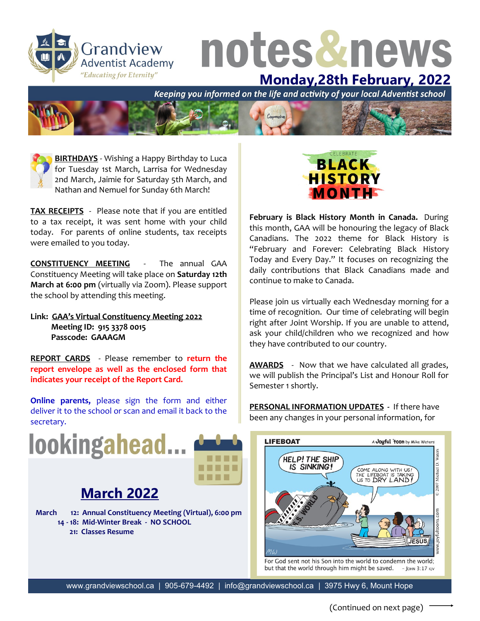

## notes&news

**Monday,28th February, 2022**<br>Keeping you informed on the life and activity of your local Adventist school



**BIRTHDAYS** - Wishing a Happy Birthday to Luca for Tuesday 1st March, Larrisa for Wednesday 2nd March, Jaimie for Saturday 5th March, and Nathan and Nemuel for Sunday 6th March!

**TAX RECEIPTS** - Please note that if you are entitled to a tax receipt, it was sent home with your child today. For parents of online students, tax receipts were emailed to you today.

**CONSTITUENCY MEETING** - The annual GAA Constituency Meeting will take place on **Saturday 12th March at 6:00 pm** (virtually via Zoom). Please support the school by attending this meeting.

**Link: GAA's Virtual Constituency Meeting 2022 Meeting ID: 915 3378 0015 Passcode: GAAAGM**

**REPORT CARDS** - Please remember to **return the report envelope as well as the enclosed form that indicates your receipt of the Report Card.**

**Online parents,** please sign the form and either deliver it to the school or scan and email it back to the secretary.





## **March 2022**

**March 12: Annual Constituency Meeting (Virtual), 6:00 pm 14 - 18: Mid-Winter Break - NO SCHOOL 21: Classes Resume**



**February is Black History Month in Canada.** During this month, GAA will be honouring the legacy of Black Canadians. The 2022 theme for Black History is "February and Forever: Celebrating Black History Today and Every Day." It focuses on recognizing the daily contributions that Black Canadians made and continue to make to Canada.

Please join us virtually each Wednesday morning for a time of recognition. Our time of celebrating will begin right after Joint Worship. If you are unable to attend, ask your child/children who we recognized and how they have contributed to our country.

**AWARDS** - Now that we have calculated all grades, we will publish the Principal's List and Honour Roll for Semester 1 shortly.

**PERSONAL INFORMATION UPDATES -** If there have been any changes in your personal information, for



For God sent not his Son into the world to condemn the world; but that the world through him might be saved.  $-$  IOHN  $3:17$  KIV

www.grandviewschool.ca | 905-679-4492 | info@grandviewschool.ca | 3975 Hwy 6, Mount Hope